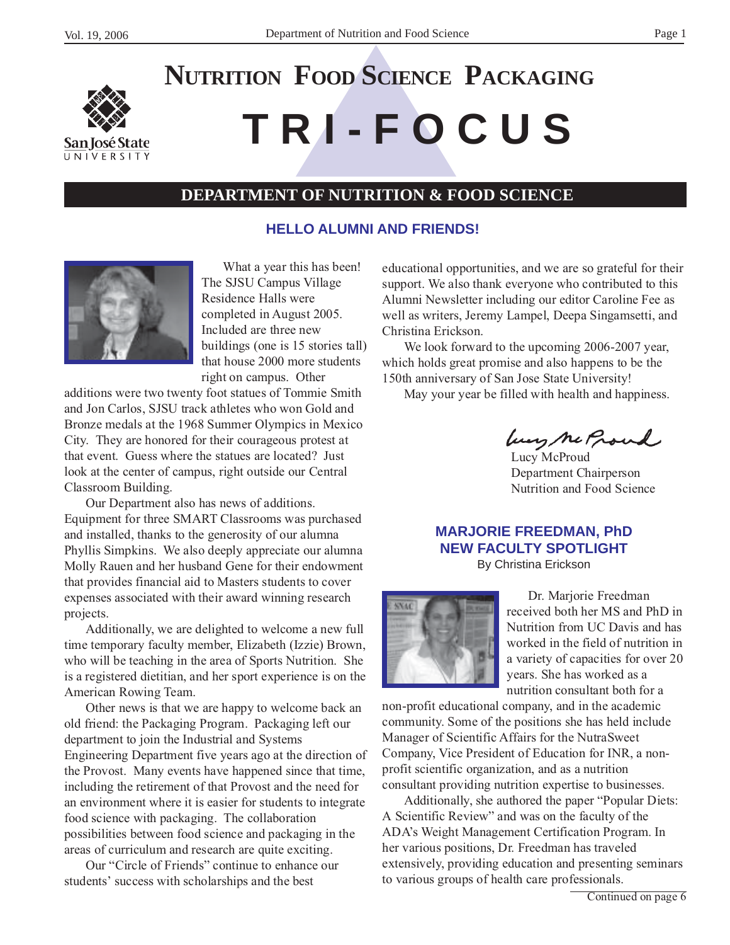

# **T R I - F O C U S NUTRITION FOOD SCIENCE PACKAGING**

# **DEPARTMENT OF NUTRITION & FOOD SCIENCE**

#### **HELLO ALUMNI AND FRIENDS!**



What a year this has been! The SJSU Campus Village Residence Halls were completed in August 2005. Included are three new buildings (one is 15 stories tall) that house 2000 more students right on campus. Other

additions were two twenty foot statues of Tommie Smith and Jon Carlos, SJSU track athletes who won Gold and Bronze medals at the 1968 Summer Olympics in Mexico City. They are honored for their courageous protest at that event. Guess where the statues are located? Just look at the center of campus, right outside our Central Classroom Building.

Our Department also has news of additions. Equipment for three SMART Classrooms was purchased and installed, thanks to the generosity of our alumna Phyllis Simpkins. We also deeply appreciate our alumna Molly Rauen and her husband Gene for their endowment that provides financial aid to Masters students to cover expenses associated with their award winning research projects.

Additionally, we are delighted to welcome a new full time temporary faculty member, Elizabeth (Izzie) Brown, who will be teaching in the area of Sports Nutrition. She is a registered dietitian, and her sport experience is on the American Rowing Team.

Other news is that we are happy to welcome back an old friend: the Packaging Program. Packaging left our department to join the Industrial and Systems Engineering Department five years ago at the direction of the Provost. Many events have happened since that time, including the retirement of that Provost and the need for an environment where it is easier for students to integrate food science with packaging. The collaboration possibilities between food science and packaging in the areas of curriculum and research are quite exciting.

Our "Circle of Friends" continue to enhance our students' success with scholarships and the best

educational opportunities, and we are so grateful for their support. We also thank everyone who contributed to this Alumni Newsletter including our editor Caroline Fee as well as writers, Jeremy Lampel, Deepa Singamsetti, and Christina Erickson.

We look forward to the upcoming 2006-2007 year, which holds great promise and also happens to be the 150th anniversary of San Jose State University!

May your year be filled with health and happiness.

Lucy Me Proud

Department Chairperson Nutrition and Food Science

#### **MARJORIE FREEDMAN, PhD NEW FACULTY SPOTLIGHT** By Christina Erickson



Dr. Marjorie Freedman received both her MS and PhD in Nutrition from UC Davis and has worked in the field of nutrition in a variety of capacities for over 20 years. She has worked as a nutrition consultant both for a

non-profit educational company, and in the academic community. Some of the positions she has held include Manager of Scientific Affairs for the NutraSweet Company, Vice President of Education for INR, a nonprofit scientific organization, and as a nutrition consultant providing nutrition expertise to businesses.

Additionally, she authored the paper "Popular Diets: A Scientific Review" and was on the faculty of the ADA's Weight Management Certification Program. In her various positions, Dr. Freedman has traveled extensively, providing education and presenting seminars to various groups of health care professionals.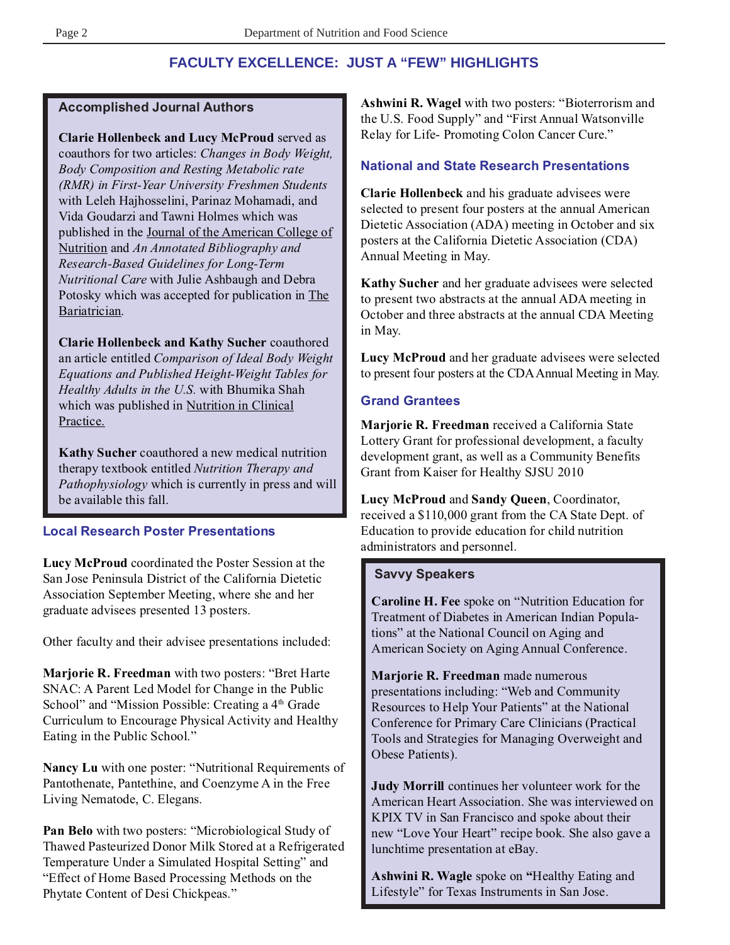# **FACULTY EXCELLENCE: JUST A "FEW" HIGHLIGHTS**

#### **Accomplished Journal Authors**

**Clarie Hollenbeck and Lucy McProud** served as coauthors for two articles: *Changes in Body Weight, Body Composition and Resting Metabolic rate (RMR) in First-Year University Freshmen Students* with Leleh Hajhosselini, Parinaz Mohamadi, and Vida Goudarzi and Tawni Holmes which was published in the Journal of the American College of Nutrition and *An Annotated Bibliography and Research-Based Guidelines for Long-Term Nutritional Care* with Julie Ashbaugh and Debra Potosky which was accepted for publication in The Bariatrician.

**Clarie Hollenbeck and Kathy Sucher** coauthored an article entitled *Comparison of Ideal Body Weight Equations and Published Height-Weight Tables for Healthy Adults in the U.S.* with Bhumika Shah which was published in Nutrition in Clinical Practice.

**Kathy Sucher** coauthored a new medical nutrition therapy textbook entitled *Nutrition Therapy and Pathophysiology* which is currently in press and will be available this fall.

## **Local Research Poster Presentations**

**Lucy McProud** coordinated the Poster Session at the San Jose Peninsula District of the California Dietetic Association September Meeting, where she and her graduate advisees presented 13 posters.

Other faculty and their advisee presentations included:

**Marjorie R. Freedman** with two posters: "Bret Harte SNAC: A Parent Led Model for Change in the Public School" and "Mission Possible: Creating a 4<sup>th</sup> Grade Curriculum to Encourage Physical Activity and Healthy Eating in the Public School."

**Nancy Lu** with one poster: "Nutritional Requirements of Pantothenate, Pantethine, and Coenzyme A in the Free Living Nematode, C. Elegans.

**Pan Belo** with two posters: "Microbiological Study of Thawed Pasteurized Donor Milk Stored at a Refrigerated Temperature Under a Simulated Hospital Setting" and "Effect of Home Based Processing Methods on the Phytate Content of Desi Chickpeas."

**Ashwini R. Wagel** with two posters: "Bioterrorism and the U.S. Food Supply" and "First Annual Watsonville Relay for Life- Promoting Colon Cancer Cure."

# **National and State Research Presentations**

**Clarie Hollenbeck** and his graduate advisees were selected to present four posters at the annual American Dietetic Association (ADA) meeting in October and six posters at the California Dietetic Association (CDA) Annual Meeting in May.

**Kathy Sucher** and her graduate advisees were selected to present two abstracts at the annual ADA meeting in October and three abstracts at the annual CDA Meeting in May.

**Lucy McProud** and her graduate advisees were selected to present four posters at the CDA Annual Meeting in May.

# **Grand Grantees**

**Marjorie R. Freedman** received a California State Lottery Grant for professional development, a faculty development grant, as well as a Community Benefits Grant from Kaiser for Healthy SJSU 2010

**Lucy McProud** and **Sandy Queen**, Coordinator, received a \$110,000 grant from the CA State Dept. of Education to provide education for child nutrition administrators and personnel.

## **Savvy Speakers**

**Caroline H. Fee** spoke on "Nutrition Education for Treatment of Diabetes in American Indian Populations" at the National Council on Aging and American Society on Aging Annual Conference.

**Marjorie R. Freedman** made numerous presentations including: "Web and Community Resources to Help Your Patients" at the National Conference for Primary Care Clinicians (Practical Tools and Strategies for Managing Overweight and Obese Patients).

**Judy Morrill** continues her volunteer work for the American Heart Association. She was interviewed on KPIX TV in San Francisco and spoke about their new "Love Your Heart" recipe book. She also gave a lunchtime presentation at eBay.

**Ashwini R. Wagle** spoke on **"**Healthy Eating and Lifestyle" for Texas Instruments in San Jose.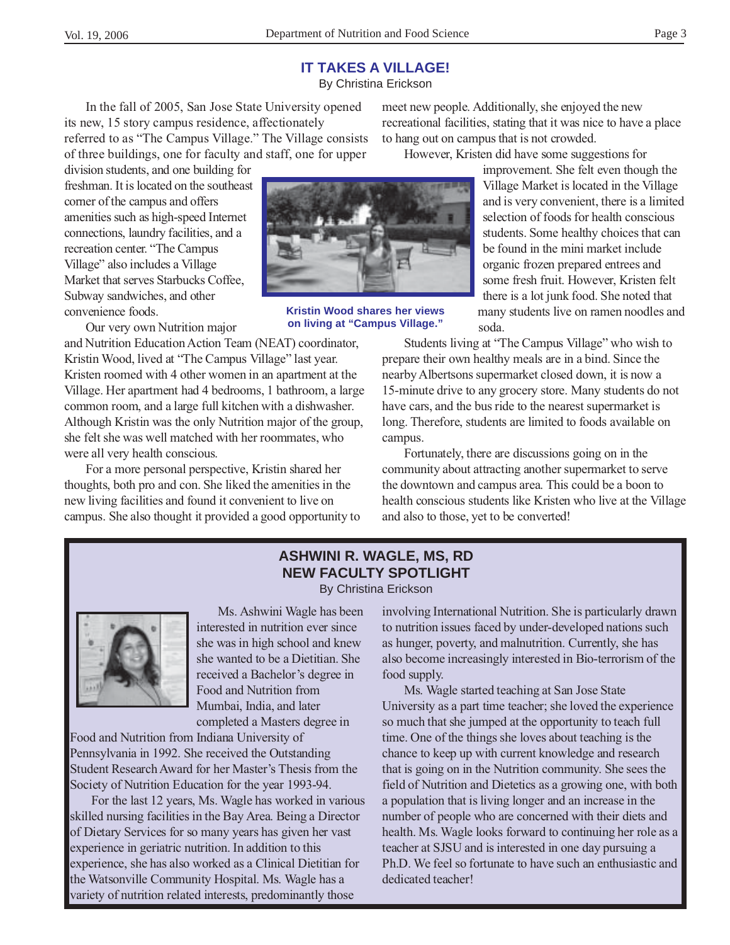By Christina Erickson

In the fall of 2005, San Jose State University opened its new, 15 story campus residence, affectionately referred to as "The Campus Village." The Village consists of three buildings, one for faculty and staff, one for upper

division students, and one building for freshman. It is located on the southeast corner of the campus and offers amenities such as high-speed Internet connections, laundry facilities, and a recreation center. "The Campus Village" also includes a Village Market that serves Starbucks Coffee, Subway sandwiches, and other convenience foods.

Our very own Nutrition major

and Nutrition Education Action Team (NEAT) coordinator, Kristin Wood, lived at "The Campus Village" last year. Kristen roomed with 4 other women in an apartment at the Village. Her apartment had 4 bedrooms, 1 bathroom, a large common room, and a large full kitchen with a dishwasher. Although Kristin was the only Nutrition major of the group, she felt she was well matched with her roommates, who were all very health conscious.

For a more personal perspective, Kristin shared her thoughts, both pro and con. She liked the amenities in the new living facilities and found it convenient to live on campus. She also thought it provided a good opportunity to

meet new people. Additionally, she enjoyed the new recreational facilities, stating that it was nice to have a place to hang out on campus that is not crowded.

However, Kristen did have some suggestions for

improvement. She felt even though the Village Market is located in the Village and is very convenient, there is a limited selection of foods for health conscious students. Some healthy choices that can be found in the mini market include organic frozen prepared entrees and some fresh fruit. However, Kristen felt there is a lot junk food. She noted that many students live on ramen noodles and soda.

Students living at "The Campus Village" who wish to prepare their own healthy meals are in a bind. Since the nearby Albertsons supermarket closed down, it is now a 15-minute drive to any grocery store. Many students do not have cars, and the bus ride to the nearest supermarket is long. Therefore, students are limited to foods available on campus.

Fortunately, there are discussions going on in the community about attracting another supermarket to serve the downtown and campus area. This could be a boon to health conscious students like Kristen who live at the Village and also to those, yet to be converted!

#### **ASHWINI R. WAGLE, MS, RD NEW FACULTY SPOTLIGHT** By Christina Erickson

Ms. Ashwini Wagle has been interested in nutrition ever since she was in high school and knew she wanted to be a Dietitian. She received a Bachelor's degree in Food and Nutrition from Mumbai, India, and later completed a Masters degree in

Food and Nutrition from Indiana University of Pennsylvania in 1992. She received the Outstanding Student Research Award for her Master's Thesis from the Society of Nutrition Education for the year 1993-94.

For the last 12 years, Ms. Wagle has worked in various skilled nursing facilities in the Bay Area. Being a Director of Dietary Services for so many years has given her vast experience in geriatric nutrition. In addition to this experience, she has also worked as a Clinical Dietitian for the Watsonville Community Hospital. Ms. Wagle has a variety of nutrition related interests, predominantly those

involving International Nutrition. She is particularly drawn to nutrition issues faced by under-developed nations such as hunger, poverty, and malnutrition. Currently, she has also become increasingly interested in Bio-terrorism of the food supply.

Ms. Wagle started teaching at San Jose State University as a part time teacher; she loved the experience so much that she jumped at the opportunity to teach full time. One of the things she loves about teaching is the chance to keep up with current knowledge and research that is going on in the Nutrition community. She sees the field of Nutrition and Dietetics as a growing one, with both a population that is living longer and an increase in the number of people who are concerned with their diets and health. Ms. Wagle looks forward to continuing her role as a teacher at SJSU and is interested in one day pursuing a Ph.D. We feel so fortunate to have such an enthusiastic and dedicated teacher!



**Kristin Wood shares her views on living at "Campus Village."**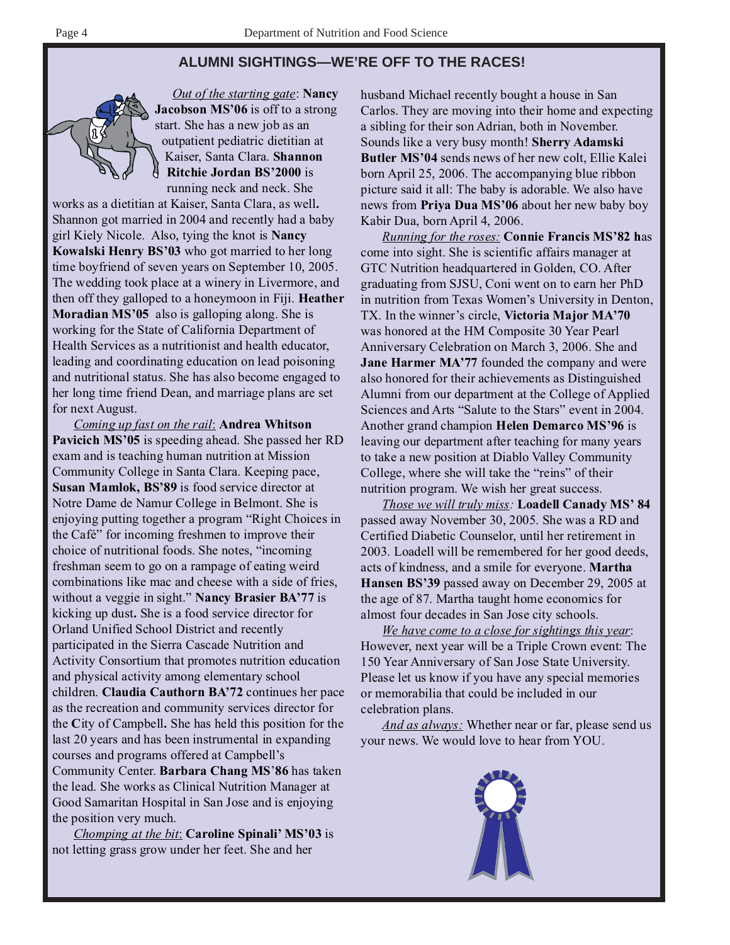# **ALUMNI SIGHTINGS—WE'RE OFF TO THE RACES!**



*Out of the starting gate*: **Nancy Jacobson MS'06** is off to a strong start. She has a new job as an outpatient pediatric dietitian at Kaiser, Santa Clara. **Shannon Ritchie Jordan BS'2000** is running neck and neck. She

works as a dietitian at Kaiser, Santa Clara, as well**.** Shannon got married in 2004 and recently had a baby girl Kiely Nicole. Also, tying the knot is **Nancy Kowalski Henry BS'03** who got married to her long time boyfriend of seven years on September 10, 2005. The wedding took place at a winery in Livermore, and then off they galloped to a honeymoon in Fiji. **Heather Moradian MS'05** also is galloping along. She is working for the State of California Department of Health Services as a nutritionist and health educator, leading and coordinating education on lead poisoning and nutritional status. She has also become engaged to her long time friend Dean, and marriage plans are set for next August.

*Coming up fast on the rail*: **Andrea Whitson Pavicich MS'05** is speeding ahead. She passed her RD exam and is teaching human nutrition at Mission Community College in Santa Clara. Keeping pace, **Susan Mamlok, BS'89** is food service director at Notre Dame de Namur College in Belmont. She is enjoying putting together a program "Right Choices in the Café" for incoming freshmen to improve their choice of nutritional foods. She notes, "incoming freshman seem to go on a rampage of eating weird combinations like mac and cheese with a side of fries, without a veggie in sight." **Nancy Brasier BA'77** is kicking up dust**.** She is a food service director for Orland Unified School District and recently participated in the Sierra Cascade Nutrition and Activity Consortium that promotes nutrition education and physical activity among elementary school children. **Claudia Cauthorn BA'72** continues her pace as the recreation and community services director for the **C**ity of Campbell**.** She has held this position for the last 20 years and has been instrumental in expanding courses and programs offered at Campbell's Community Center. **Barbara Chang MS**'**86** has taken the lead. She works as Clinical Nutrition Manager at Good Samaritan Hospital in San Jose and is enjoying the position very much.

*Chomping at the bit*: **Caroline Spinali' MS'03** is not letting grass grow under her feet. She and her

husband Michael recently bought a house in San Carlos. They are moving into their home and expecting a sibling for their son Adrian, both in November. Sounds like a very busy month! **Sherry Adamski Butler MS'04** sends news of her new colt, Ellie Kalei born April 25, 2006. The accompanying blue ribbon picture said it all: The baby is adorable. We also have news from **Priya Dua MS'06** about her new baby boy Kabir Dua, born April 4, 2006.

*Running for the roses:* **Connie Francis MS'82 h**as come into sight. She is scientific affairs manager at GTC Nutrition headquartered in Golden, CO. After graduating from SJSU, Coni went on to earn her PhD in nutrition from Texas Women's University in Denton, TX. In the winner's circle, **Victoria Major MA'70** was honored at the HM Composite 30 Year Pearl Anniversary Celebration on March 3, 2006. She and **Jane Harmer MA'77** founded the company and were also honored for their achievements as Distinguished Alumni from our department at the College of Applied Sciences and Arts "Salute to the Stars" event in 2004. Another grand champion **Helen Demarco MS'96** is leaving our department after teaching for many years to take a new position at Diablo Valley Community College, where she will take the "reins" of their nutrition program. We wish her great success.

*Those we will truly miss:* **Loadell Canady MS' 84** passed away November 30, 2005. She was a RD and Certified Diabetic Counselor, until her retirement in 2003. Loadell will be remembered for her good deeds, acts of kindness, and a smile for everyone. **Martha Hansen BS'39** passed away on December 29, 2005 at the age of 87. Martha taught home economics for almost four decades in San Jose city schools.

*We have come to a close for sightings this year*: However, next year will be a Triple Crown event: The 150 Year Anniversary of San Jose State University. Please let us know if you have any special memories or memorabilia that could be included in our celebration plans.

*And as always:* Whether near or far, please send us your news. We would love to hear from YOU.

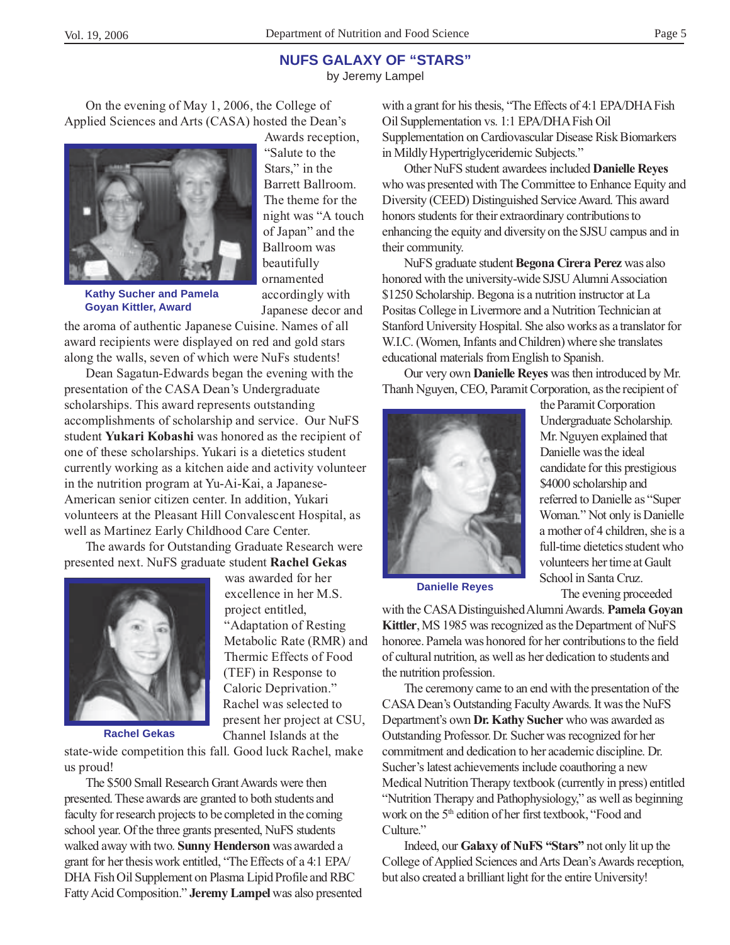#### **NUFS GALAXY OF "STARS"**

by Jeremy Lampel

On the evening of May 1, 2006, the College of Applied Sciences and Arts (CASA) hosted the Dean's



**Kathy Sucher and Pamela Goyan Kittler, Award**

Awards reception, "Salute to the Stars," in the Barrett Ballroom. The theme for the night was "A touch of Japan" and the Ballroom was beautifully ornamented accordingly with Japanese decor and

the aroma of authentic Japanese Cuisine. Names of all award recipients were displayed on red and gold stars along the walls, seven of which were NuFs students!

Dean Sagatun-Edwards began the evening with the presentation of the CASA Dean's Undergraduate scholarships. This award represents outstanding accomplishments of scholarship and service. Our NuFS student **Yukari Kobashi** was honored as the recipient of one of these scholarships. Yukari is a dietetics student currently working as a kitchen aide and activity volunteer in the nutrition program at Yu-Ai-Kai, a Japanese-American senior citizen center. In addition, Yukari volunteers at the Pleasant Hill Convalescent Hospital, as well as Martinez Early Childhood Care Center.

The awards for Outstanding Graduate Research were presented next. NuFS graduate student **Rachel Gekas**

> was awarded for her excellence in her M.S.

"Adaptation of Resting Metabolic Rate (RMR) and Thermic Effects of Food (TEF) in Response to Caloric Deprivation." Rachel was selected to present her project at CSU, Channel Islands at the

project entitled,



**Rachel Gekas**

state-wide competition this fall. Good luck Rachel, make us proud!

The \$500 Small Research Grant Awards were then presented. These awards are granted to both students and faculty for research projects to be completed in the coming school year. Of the three grants presented, NuFS students walked away with two. **Sunny Henderson** was awarded a grant for her thesis work entitled, "The Effects of a 4:1 EPA/ DHA Fish Oil Supplement on Plasma Lipid Profile and RBC Fatty Acid Composition." **Jeremy Lampel** was also presented

with a grant for his thesis, "The Effects of 4:1 EPA/DHA Fish Oil Supplementation vs. 1:1 EPA/DHA Fish Oil Supplementation on Cardiovascular Disease Risk Biomarkers in Mildly Hypertriglyceridemic Subjects."

Other NuFS student awardees included **Danielle Reyes** who was presented with The Committee to Enhance Equity and Diversity (CEED) Distinguished Service Award. This award honors students for their extraordinary contributions to enhancing the equity and diversity on the SJSU campus and in their community.

NuFS graduate student **Begona Cirera Perez** was also honored with the university-wide SJSU Alumni Association \$1250 Scholarship. Begona is a nutrition instructor at La Positas College in Livermore and a Nutrition Technician at Stanford University Hospital. She also works as a translator for W.I.C. (Women, Infants and Children) where she translates educational materials from English to Spanish.

Our very own **Danielle Reyes** was then introduced by Mr. Thanh Nguyen, CEO, Paramit Corporation, as the recipient of



the Paramit Corporation Undergraduate Scholarship. Mr. Nguyen explained that Danielle was the ideal candidate for this prestigious \$4000 scholarship and referred to Danielle as "Super Woman." Not only is Danielle a mother of 4 children, she is a full-time dietetics student who volunteers her time at Gault School in Santa Cruz. The evening proceeded

**Danielle Reyes**

with the CASA Distinguished Alumni Awards. **Pamela Goyan Kittler**, MS 1985 was recognized as the Department of NuFS honoree. Pamela was honored for her contributions to the field of cultural nutrition, as well as her dedication to students and the nutrition profession.

The ceremony came to an end with the presentation of the CASA Dean's Outstanding Faculty Awards. It was the NuFS Department's own **Dr. Kathy Sucher** who was awarded as Outstanding Professor. Dr. Sucher was recognized for her commitment and dedication to her academic discipline. Dr. Sucher's latest achievements include coauthoring a new Medical Nutrition Therapy textbook (currently in press) entitled "Nutrition Therapy and Pathophysiology," as well as beginning work on the 5<sup>th</sup> edition of her first textbook, "Food and Culture."

Indeed, our **Galaxy of NuFS "Stars"** not only lit up the College of Applied Sciences and Arts Dean's Awards reception, but also created a brilliant light for the entire University!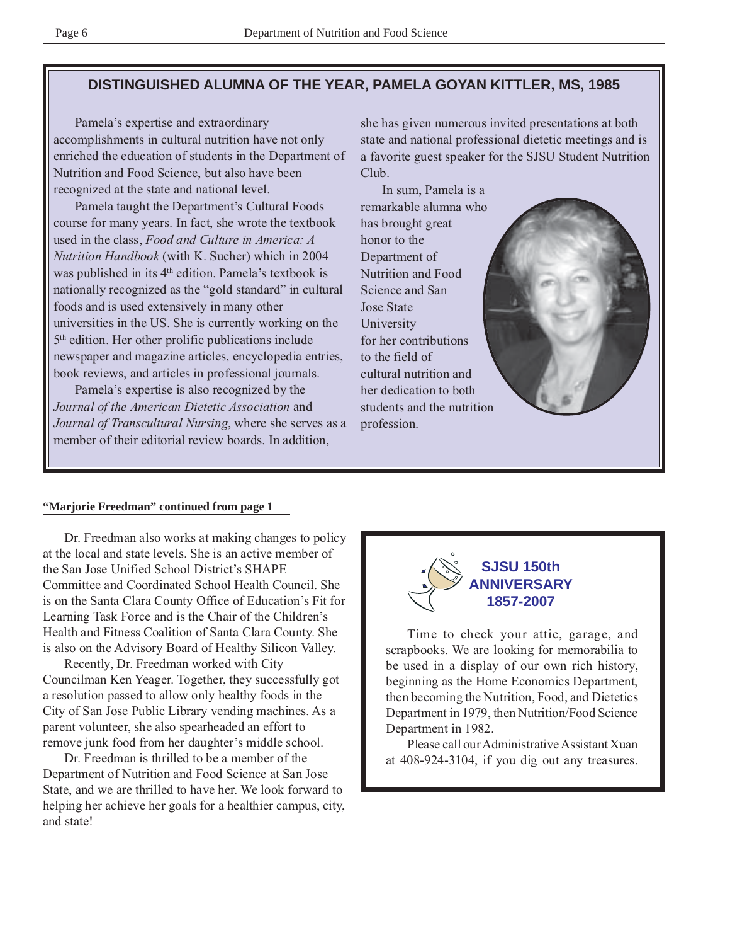## **DISTINGUISHED ALUMNA OF THE YEAR, PAMELA GOYAN KITTLER, MS, 1985**

Pamela's expertise and extraordinary accomplishments in cultural nutrition have not only enriched the education of students in the Department of Nutrition and Food Science, but also have been recognized at the state and national level.

Pamela taught the Department's Cultural Foods course for many years. In fact, she wrote the textbook used in the class, *Food and Culture in America: A Nutrition Handbook* (with K. Sucher) which in 2004 was published in its  $4<sup>th</sup>$  edition. Pamela's textbook is nationally recognized as the "gold standard" in cultural foods and is used extensively in many other universities in the US. She is currently working on the 5th edition. Her other prolific publications include newspaper and magazine articles, encyclopedia entries, book reviews, and articles in professional journals.

Pamela's expertise is also recognized by the *Journal of the American Dietetic Association* and *Journal of Transcultural Nursing*, where she serves as a member of their editorial review boards. In addition,

she has given numerous invited presentations at both state and national professional dietetic meetings and is a favorite guest speaker for the SJSU Student Nutrition Club.

In sum, Pamela is a remarkable alumna who has brought great honor to the Department of Nutrition and Food Science and San Jose State University for her contributions to the field of cultural nutrition and her dedication to both students and the nutrition profession.



#### **"Marjorie Freedman" continued from page 1**

Dr. Freedman also works at making changes to policy at the local and state levels. She is an active member of the San Jose Unified School District's SHAPE Committee and Coordinated School Health Council. She is on the Santa Clara County Office of Education's Fit for Learning Task Force and is the Chair of the Children's Health and Fitness Coalition of Santa Clara County. She is also on the Advisory Board of Healthy Silicon Valley.

Recently, Dr. Freedman worked with City Councilman Ken Yeager. Together, they successfully got a resolution passed to allow only healthy foods in the City of San Jose Public Library vending machines. As a parent volunteer, she also spearheaded an effort to remove junk food from her daughter's middle school.

Dr. Freedman is thrilled to be a member of the Department of Nutrition and Food Science at San Jose State, and we are thrilled to have her. We look forward to helping her achieve her goals for a healthier campus, city, and state!



Time to check your attic, garage, and scrapbooks. We are looking for memorabilia to be used in a display of our own rich history, beginning as the Home Economics Department, then becoming the Nutrition, Food, and Dietetics Department in 1979, then Nutrition/Food Science Department in 1982.

Please call our Administrative Assistant Xuan at 408-924-3104, if you dig out any treasures.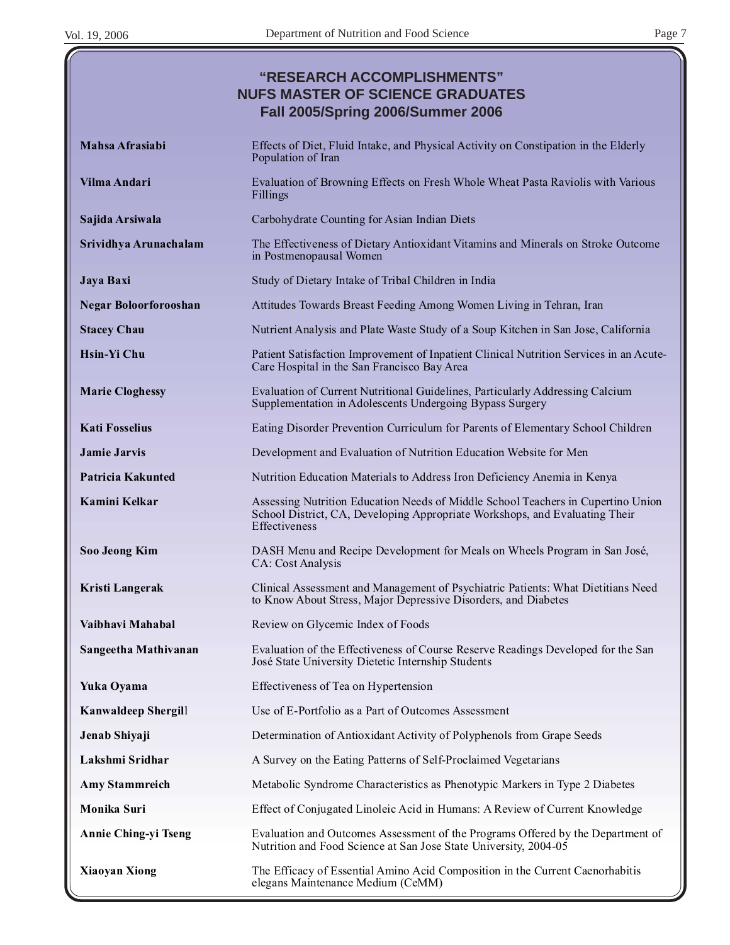|                              | "RESEARCH ACCOMPLISHMENTS"<br><b>NUFS MASTER OF SCIENCE GRADUATES</b><br><b>Fall 2005/Spring 2006/Summer 2006</b>                                                                       |
|------------------------------|-----------------------------------------------------------------------------------------------------------------------------------------------------------------------------------------|
| Mahsa Afrasiabi              | Effects of Diet, Fluid Intake, and Physical Activity on Constipation in the Elderly<br>Population of Iran                                                                               |
| Vilma Andari                 | Evaluation of Browning Effects on Fresh Whole Wheat Pasta Raviolis with Various<br>Fillings                                                                                             |
| Sajida Arsiwala              | Carbohydrate Counting for Asian Indian Diets                                                                                                                                            |
| Srividhya Arunachalam        | The Effectiveness of Dietary Antioxidant Vitamins and Minerals on Stroke Outcome<br>in Postmenopausal Women                                                                             |
| Jaya Baxi                    | Study of Dietary Intake of Tribal Children in India                                                                                                                                     |
| <b>Negar Boloorforooshan</b> | Attitudes Towards Breast Feeding Among Women Living in Tehran, Iran                                                                                                                     |
| <b>Stacey Chau</b>           | Nutrient Analysis and Plate Waste Study of a Soup Kitchen in San Jose, California                                                                                                       |
| <b>Hsin-Yi Chu</b>           | Patient Satisfaction Improvement of Inpatient Clinical Nutrition Services in an Acute-<br>Care Hospital in the San Francisco Bay Area                                                   |
| <b>Marie Cloghessy</b>       | Evaluation of Current Nutritional Guidelines, Particularly Addressing Calcium<br>Supplementation in Adolescents Undergoing Bypass Surgery                                               |
| <b>Kati Fosselius</b>        | Eating Disorder Prevention Curriculum for Parents of Elementary School Children                                                                                                         |
| <b>Jamie Jarvis</b>          | Development and Evaluation of Nutrition Education Website for Men                                                                                                                       |
| Patricia Kakunted            | Nutrition Education Materials to Address Iron Deficiency Anemia in Kenya                                                                                                                |
| Kamini Kelkar                | Assessing Nutrition Education Needs of Middle School Teachers in Cupertino Union<br>School District, CA, Developing Appropriate Workshops, and Evaluating Their<br><b>Effectiveness</b> |
| <b>Soo Jeong Kim</b>         | DASH Menu and Recipe Development for Meals on Wheels Program in San José,<br>CA: Cost Analysis                                                                                          |
| Kristi Langerak              | Clinical Assessment and Management of Psychiatric Patients: What Dietitians Need<br>to Know About Stress, Major Depressive Disorders, and Diabetes                                      |
| Vaibhavi Mahabal             | Review on Glycemic Index of Foods                                                                                                                                                       |
| Sangeetha Mathivanan         | Evaluation of the Effectiveness of Course Reserve Readings Developed for the San<br>José State University Dietetic Internship Students                                                  |
| Yuka Oyama                   | Effectiveness of Tea on Hypertension                                                                                                                                                    |
| <b>Kanwaldeep Shergill</b>   | Use of E-Portfolio as a Part of Outcomes Assessment                                                                                                                                     |
| Jenab Shiyaji                | Determination of Antioxidant Activity of Polyphenols from Grape Seeds                                                                                                                   |
| Lakshmi Sridhar              | A Survey on the Eating Patterns of Self-Proclaimed Vegetarians                                                                                                                          |
| <b>Amy Stammreich</b>        | Metabolic Syndrome Characteristics as Phenotypic Markers in Type 2 Diabetes                                                                                                             |
| Monika Suri                  | Effect of Conjugated Linoleic Acid in Humans: A Review of Current Knowledge                                                                                                             |
| <b>Annie Ching-yi Tseng</b>  | Evaluation and Outcomes Assessment of the Programs Offered by the Department of<br>Nutrition and Food Science at San Jose State University, 2004-05                                     |
| <b>Xiaoyan Xiong</b>         | The Efficacy of Essential Amino Acid Composition in the Current Caenorhabitis<br>elegans Maintenance Medium (CeMM)                                                                      |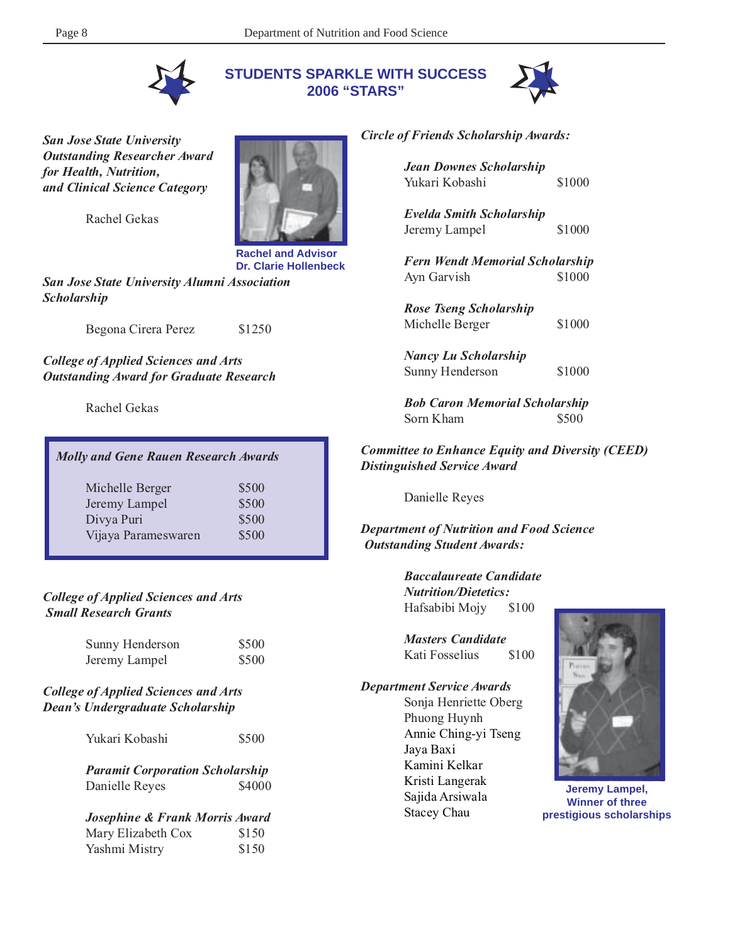**STUDENTS SPARKLE WITH SUCCESS 2006 "STARS"**



*San Jose State University Outstanding Researcher Award for Health, Nutrition, and Clinical Science Category*

Rachel Gekas



**Rachel and Advisor Dr. Clarie Hollenbeck**

*San Jose State University Alumni Association Scholarship*

Begona Cirera Perez \$1250

*College of Applied Sciences and Arts Outstanding Award for Graduate Research*

Rachel Gekas

| <b>Molly and Gene Rauen Research Awards</b> |       |  |
|---------------------------------------------|-------|--|
| Michelle Berger                             | \$500 |  |
| Jeremy Lampel                               | \$500 |  |
| Divya Puri                                  | \$500 |  |
| Vijaya Parameswaren                         | \$500 |  |

#### *College of Applied Sciences and Arts Small Research Grants*

| Sunny Henderson | \$500 |
|-----------------|-------|
| Jeremy Lampel   | \$500 |

#### *College of Applied Sciences and Arts Dean's Undergraduate Scholarship*

| Yukari Kobashi | \$500 |
|----------------|-------|
|                |       |

*Paramit Corporation Scholarship* Danielle Reyes \$4000

*Josephine & Frank Morris Award* Mary Elizabeth Cox Yashmi Mistry \$150

#### *Circle of Friends Scholarship Awards:*

| <b>Jean Downes Scholarship</b><br>Yukari Kobashi      | \$1000 |
|-------------------------------------------------------|--------|
| <b>Evelda Smith Scholarship</b><br>Jeremy Lampel      | \$1000 |
| <b>Fern Wendt Memorial Scholarship</b><br>Ayn Garvish | \$1000 |
| <b>Rose Tseng Scholarship</b><br>Michelle Berger      | \$1000 |
| <b>Nancy Lu Scholarship</b><br>Sunny Henderson        | \$1000 |

*Bob Caron Memorial Scholarship* Sorn Kham  $$500$ 

*Committee to Enhance Equity and Diversity (CEED) Distinguished Service Award*

Danielle Reyes

*Department of Nutrition and Food Science Outstanding Student Awards:*

> *Baccalaureate Candidate Nutrition/Dietetics:* Hafsabibi Mojy \$100

*Masters Candidate* Kati Fosselius \$100

*Department Service Awards* Sonja Henriette Oberg Phuong Huynh Annie Ching-yi Tseng Jaya Baxi Kamini Kelkar Kristi Langerak Sajida Arsiwala Stacey Chau



**Jeremy Lampel, Winner of three prestigious scholarships**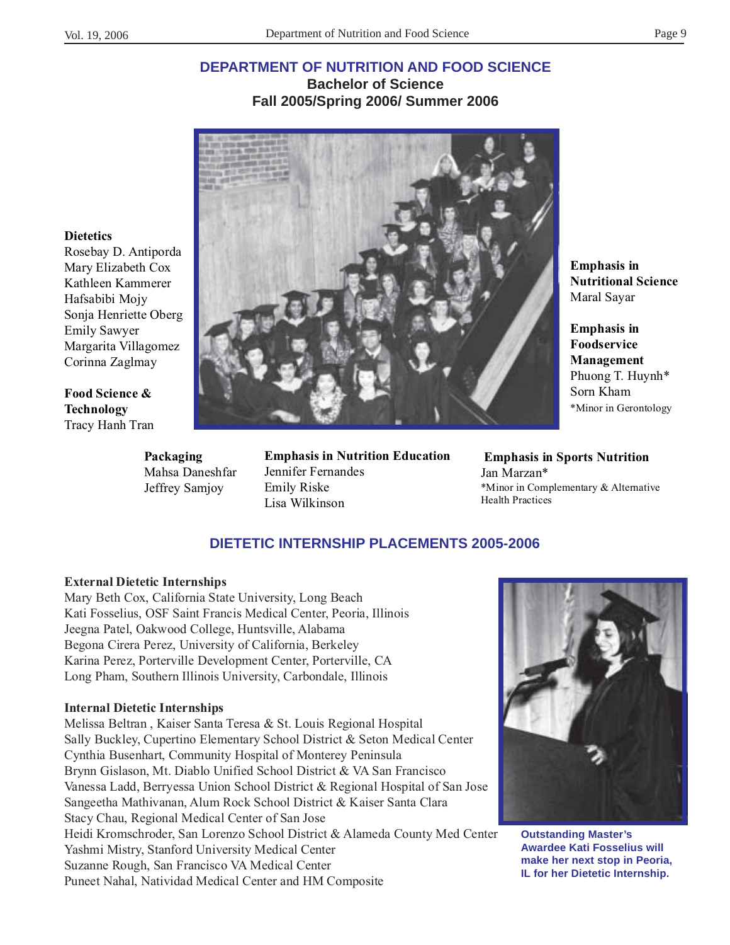**Dietetics**

Emily Sawyer

**Food Science & Technology** Tracy Hanh Tran

Rosebay D. Antiporda Mary Elizabeth Cox Kathleen Kammerer Hafsabibi Mojy Sonja Henriette Oberg

Margarita Villagomez Corinna Zaglmay

## **DEPARTMENT OF NUTRITION AND FOOD SCIENCE Bachelor of Science Fall 2005/Spring 2006/ Summer 2006**



# **Packaging** Mahsa Daneshfar Jeffrey Samjoy

**Emphasis in Nutrition Education** Jennifer Fernandes Emily Riske Lisa Wilkinson

**Emphasis in Nutritional Science** Maral Sayar

**Emphasis in Foodservice Management** Phuong T. Huynh\* Sorn Kham \*Minor in Gerontology

 **Emphasis in Sports Nutrition** Jan Marzan\* \*Minor in Complementary & Alternative Health Practices

# **DIETETIC INTERNSHIP PLACEMENTS 2005-2006**

#### **External Dietetic Internships**

Mary Beth Cox, California State University, Long Beach Kati Fosselius, OSF Saint Francis Medical Center, Peoria, Illinois Jeegna Patel, Oakwood College, Huntsville, Alabama Begona Cirera Perez, University of California, Berkeley Karina Perez, Porterville Development Center, Porterville, CA Long Pham, Southern Illinois University, Carbondale, Illinois

#### **Internal Dietetic Internships**

Melissa Beltran , Kaiser Santa Teresa & St. Louis Regional Hospital Sally Buckley, Cupertino Elementary School District & Seton Medical Center Cynthia Busenhart, Community Hospital of Monterey Peninsula Brynn Gislason, Mt. Diablo Unified School District & VA San Francisco Vanessa Ladd, Berryessa Union School District & Regional Hospital of San Jose Sangeetha Mathivanan, Alum Rock School District & Kaiser Santa Clara Stacy Chau, Regional Medical Center of San Jose Heidi Kromschroder, San Lorenzo School District & Alameda County Med Center Yashmi Mistry, Stanford University Medical Center Suzanne Rough, San Francisco VA Medical Center Puneet Nahal, Natividad Medical Center and HM Composite



**Awardee Kati Fosselius will make her next stop in Peoria, IL for her Dietetic Internship.**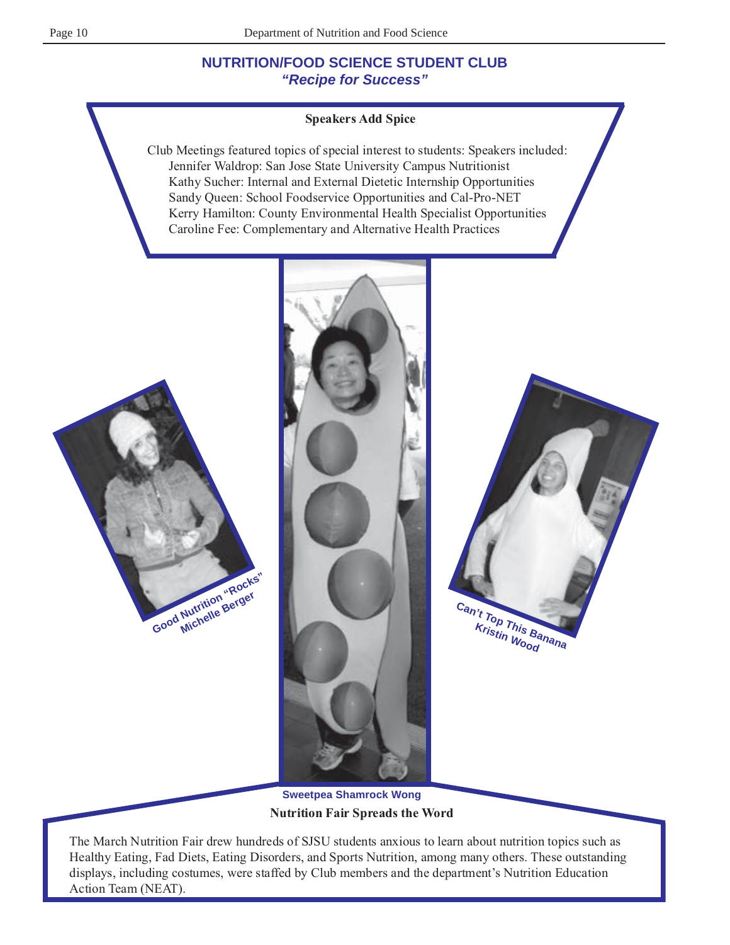# **NUTRITION/FOOD SCIENCE STUDENT CLUB "Recipe for Success"**

#### **Speakers Add Spice**

Club Meetings featured topics of special interest to students: Speakers included: Jennifer Waldrop: San Jose State University Campus Nutritionist Kathy Sucher: Internal and External Dietetic Internship Opportunities Sandy Queen: School Foodservice Opportunities and Cal-Pro-NET Kerry Hamilton: County Environmental Health Specialist Opportunities Caroline Fee: Complementary and Alternative Health Practices







**Nutrition Fair Spreads the Word Sweetpea Shamrock Wong**

The March Nutrition Fair drew hundreds of SJSU students anxious to learn about nutrition topics such as Healthy Eating, Fad Diets, Eating Disorders, and Sports Nutrition, among many others. These outstanding displays, including costumes, were staffed by Club members and the department's Nutrition Education Action Team (NEAT).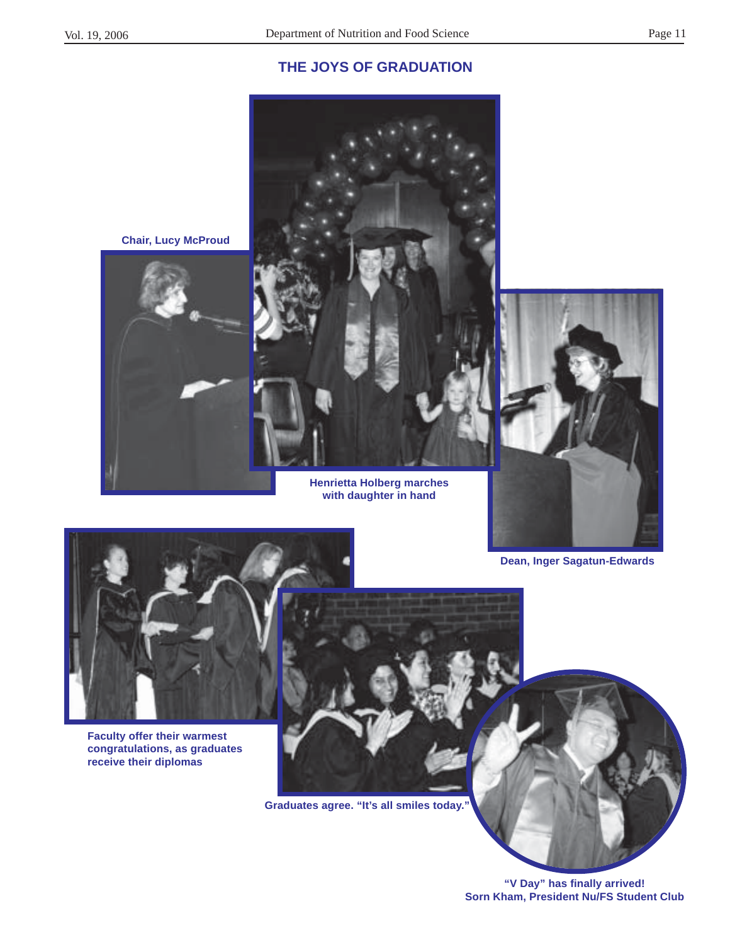## **THE JOYS OF GRADUATION**



**Henrietta Holberg marches with daughter in hand**



**Dean, Inger Sagatun-Edwards**



**Faculty offer their warmest congratulations, as graduates receive their diplomas**



**Graduates agree. "It's all smiles today."**

**"V Day" has finally arrived! Sorn Kham, President Nu/FS Student Club**